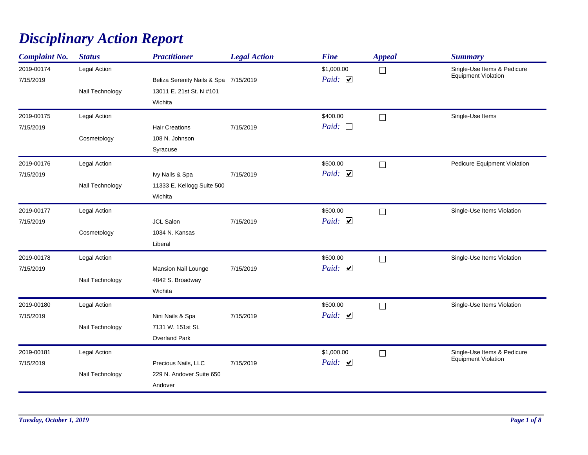## *Disciplinary Action Report*

| <b>Complaint No.</b>    | <b>Status</b>                   | <b>Practitioner</b>                                                          | <b>Legal Action</b> | <b>Fine</b>                | <b>Appeal</b> | <b>Summary</b>                                            |
|-------------------------|---------------------------------|------------------------------------------------------------------------------|---------------------|----------------------------|---------------|-----------------------------------------------------------|
| 2019-00174<br>7/15/2019 | Legal Action<br>Nail Technology | Beliza Serenity Nails & Spa 7/15/2019<br>13011 E. 21st St. N #101<br>Wichita |                     | \$1,000.00<br>Paid: $\Box$ | $\Box$        | Single-Use Items & Pedicure<br>Equipment Violation        |
| 2019-00175<br>7/15/2019 | Legal Action<br>Cosmetology     | <b>Hair Creations</b><br>108 N. Johnson<br>Syracuse                          | 7/15/2019           | \$400.00<br>Paid: $\Box$   | $\Box$        | Single-Use Items                                          |
| 2019-00176<br>7/15/2019 | Legal Action<br>Nail Technology | Ivy Nails & Spa<br>11333 E. Kellogg Suite 500<br>Wichita                     | 7/15/2019           | \$500.00<br>Paid: $\Box$   | $\Box$        | Pedicure Equipment Violation                              |
| 2019-00177<br>7/15/2019 | Legal Action<br>Cosmetology     | <b>JCL Salon</b><br>1034 N. Kansas<br>Liberal                                | 7/15/2019           | \$500.00<br>Paid: $\Box$   | $\Box$        | Single-Use Items Violation                                |
| 2019-00178<br>7/15/2019 | Legal Action<br>Nail Technology | <b>Mansion Nail Lounge</b><br>4842 S. Broadway<br>Wichita                    | 7/15/2019           | \$500.00<br>Paid: $\Box$   | $\Box$        | Single-Use Items Violation                                |
| 2019-00180<br>7/15/2019 | Legal Action<br>Nail Technology | Nini Nails & Spa<br>7131 W. 151st St.<br><b>Overland Park</b>                | 7/15/2019           | \$500.00<br>Paid: $\Box$   | $\Box$        | Single-Use Items Violation                                |
| 2019-00181<br>7/15/2019 | Legal Action<br>Nail Technology | Precious Nails, LLC<br>229 N. Andover Suite 650<br>Andover                   | 7/15/2019           | \$1,000.00<br>Paid: $\Box$ | $\Box$        | Single-Use Items & Pedicure<br><b>Equipment Violation</b> |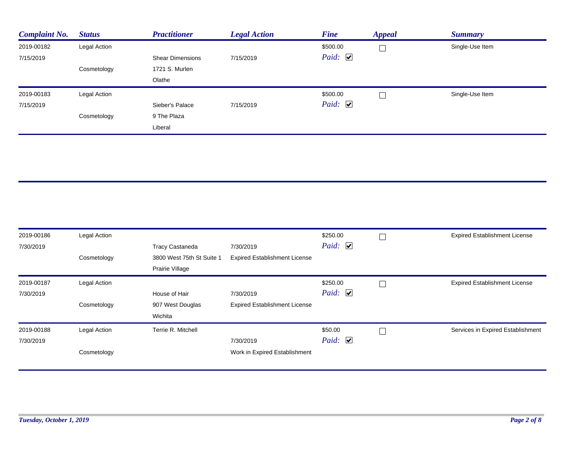| <b>Complaint No.</b> | <b>Status</b> | <b>Practitioner</b>     | <b>Legal Action</b> | <b>Fine</b>           | <b>Appeal</b> | <b>Summary</b>  |
|----------------------|---------------|-------------------------|---------------------|-----------------------|---------------|-----------------|
| 2019-00182           | Legal Action  |                         |                     | \$500.00              |               | Single-Use Item |
| 7/15/2019            |               | <b>Shear Dimensions</b> | 7/15/2019           | Paid: $\triangledown$ |               |                 |
|                      | Cosmetology   | 1721 S. Murlen          |                     |                       |               |                 |
|                      |               | Olathe                  |                     |                       |               |                 |
| 2019-00183           | Legal Action  |                         |                     | \$500.00              |               | Single-Use Item |
| 7/15/2019            |               | Sieber's Palace         | 7/15/2019           | Paid: $\triangledown$ |               |                 |
|                      | Cosmetology   | 9 The Plaza             |                     |                       |               |                 |
|                      |               | Liberal                 |                     |                       |               |                 |

| 2019-00186 | Legal Action |                           |                                      | \$250.00                              | <b>Expired Establishment License</b> |
|------------|--------------|---------------------------|--------------------------------------|---------------------------------------|--------------------------------------|
| 7/30/2019  |              | <b>Tracy Castaneda</b>    | 7/30/2019                            | Paid: $\Box$                          |                                      |
|            | Cosmetology  | 3800 West 75th St Suite 1 | <b>Expired Establishment License</b> |                                       |                                      |
|            |              | Prairie Village           |                                      |                                       |                                      |
| 2019-00187 | Legal Action |                           |                                      | \$250.00                              | <b>Expired Establishment License</b> |
| 7/30/2019  |              | House of Hair             | 7/30/2019                            | <i>Paid</i> : $\overline{\mathbf{v}}$ |                                      |
|            | Cosmetology  | 907 West Douglas          | <b>Expired Establishment License</b> |                                       |                                      |
|            |              | Wichita                   |                                      |                                       |                                      |
| 2019-00188 | Legal Action | Terrie R. Mitchell        |                                      | \$50.00                               | Services in Expired Establishment    |
| 7/30/2019  |              |                           | 7/30/2019                            | Paid: $\Box$                          |                                      |
|            | Cosmetology  |                           | Work in Expired Establishment        |                                       |                                      |
|            |              |                           |                                      |                                       |                                      |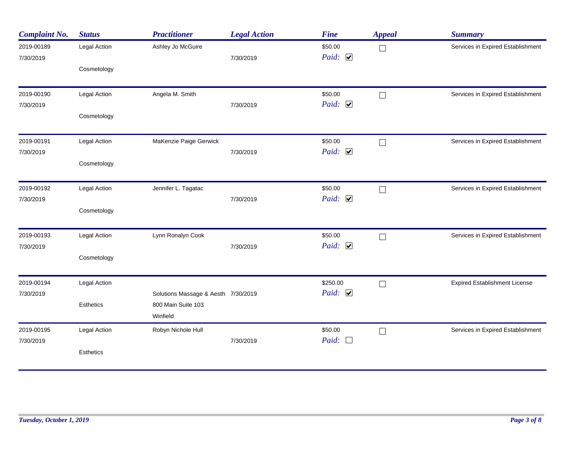| <b>Complaint No.</b> | <b>Status</b>    | <b>Practitioner</b>                 | <b>Legal Action</b> | <b>Fine</b>           | <b>Appeal</b> | <b>Summary</b>                       |
|----------------------|------------------|-------------------------------------|---------------------|-----------------------|---------------|--------------------------------------|
| 2019-00189           | Legal Action     | Ashley Jo McGuire                   |                     | \$50.00               | $\Box$        | Services in Expired Establishment    |
| 7/30/2019            |                  |                                     | 7/30/2019           | Paid: $\triangledown$ |               |                                      |
|                      | Cosmetology      |                                     |                     |                       |               |                                      |
| 2019-00190           | Legal Action     | Angela M. Smith                     |                     | \$50.00               | $\Box$        | Services in Expired Establishment    |
| 7/30/2019            |                  |                                     | 7/30/2019           | Paid: $\Box$          |               |                                      |
|                      | Cosmetology      |                                     |                     |                       |               |                                      |
| 2019-00191           | Legal Action     | MaKenzie Paige Gerwick              |                     | \$50.00               | $\Box$        | Services in Expired Establishment    |
| 7/30/2019            |                  |                                     | 7/30/2019           | Paid: $\Box$          |               |                                      |
|                      | Cosmetology      |                                     |                     |                       |               |                                      |
| 2019-00192           | Legal Action     | Jennifer L. Tagatac                 |                     | \$50.00               | $\Box$        | Services in Expired Establishment    |
| 7/30/2019            |                  |                                     | 7/30/2019           | Paid: $\Box$          |               |                                      |
|                      | Cosmetology      |                                     |                     |                       |               |                                      |
| 2019-00193           | Legal Action     | Lynn Ronalyn Cook                   |                     | \$50.00               | $\Box$        | Services in Expired Establishment    |
| 7/30/2019            |                  |                                     | 7/30/2019           | Paid: $\Box$          |               |                                      |
|                      | Cosmetology      |                                     |                     |                       |               |                                      |
| 2019-00194           | Legal Action     |                                     |                     | \$250.00              | $\Box$        | <b>Expired Establishment License</b> |
| 7/30/2019            |                  | Solutions Massage & Aesth 7/30/2019 |                     | Paid: $\Box$          |               |                                      |
|                      | Esthetics        | 800 Main Suite 103                  |                     |                       |               |                                      |
|                      |                  | Winfield                            |                     |                       |               |                                      |
| 2019-00195           | Legal Action     | Robyn Nichole Hull                  |                     | \$50.00               | $\Box$        | Services in Expired Establishment    |
| 7/30/2019            |                  |                                     | 7/30/2019           | Paid: $\Box$          |               |                                      |
|                      | <b>Esthetics</b> |                                     |                     |                       |               |                                      |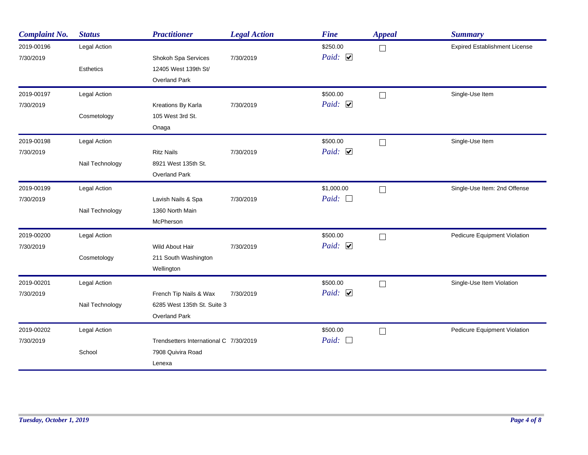| <b>Complaint No.</b>    | <b>Status</b>    | <b>Practitioner</b>                                                           | <b>Legal Action</b> | <b>Fine</b>                       | <b>Appeal</b> | <b>Summary</b>                       |
|-------------------------|------------------|-------------------------------------------------------------------------------|---------------------|-----------------------------------|---------------|--------------------------------------|
| 2019-00196<br>7/30/2019 | Legal Action     | Shokoh Spa Services                                                           | 7/30/2019           | \$250.00<br>Paid: $\triangledown$ | П             | <b>Expired Establishment License</b> |
|                         | <b>Esthetics</b> | 12405 West 139th St/<br><b>Overland Park</b>                                  |                     |                                   |               |                                      |
| 2019-00197              | Legal Action     |                                                                               |                     | \$500.00                          | $\Box$        | Single-Use Item                      |
| 7/30/2019               | Cosmetology      | Kreations By Karla<br>105 West 3rd St.<br>Onaga                               | 7/30/2019           | Paid: $\triangledown$             |               |                                      |
| 2019-00198              | Legal Action     |                                                                               |                     | \$500.00                          | $\Box$        | Single-Use Item                      |
| 7/30/2019               | Nail Technology  | <b>Ritz Nails</b><br>8921 West 135th St.<br><b>Overland Park</b>              | 7/30/2019           | Paid: $\Box$                      |               |                                      |
| 2019-00199              | Legal Action     |                                                                               |                     | \$1,000.00                        | $\Box$        | Single-Use Item: 2nd Offense         |
| 7/30/2019               | Nail Technology  | Lavish Nails & Spa<br>1360 North Main<br>McPherson                            | 7/30/2019           | Paid: $\Box$                      |               |                                      |
| 2019-00200              | Legal Action     |                                                                               |                     | \$500.00                          | П             | Pedicure Equipment Violation         |
| 7/30/2019               | Cosmetology      | Wild About Hair<br>211 South Washington<br>Wellington                         | 7/30/2019           | Paid: $\Box$                      |               |                                      |
| 2019-00201              | Legal Action     |                                                                               |                     | \$500.00                          | $\Box$        | Single-Use Item Violation            |
| 7/30/2019               | Nail Technology  | French Tip Nails & Wax<br>6285 West 135th St. Suite 3<br><b>Overland Park</b> | 7/30/2019           | Paid: $\Box$                      |               |                                      |
| 2019-00202              | Legal Action     |                                                                               |                     | \$500.00                          | $\Box$        | Pedicure Equipment Violation         |
| 7/30/2019               | School           | Trendsetters International C 7/30/2019<br>7908 Quivira Road<br>Lenexa         |                     | Paid: $\Box$                      |               |                                      |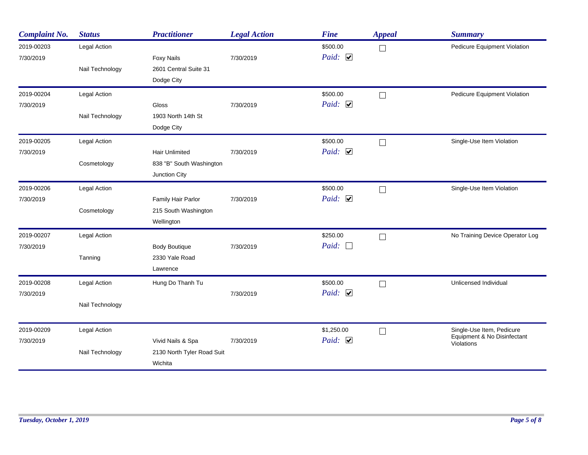| <b>Complaint No.</b> | <b>Status</b>   | <b>Practitioner</b>        | <b>Legal Action</b> | <b>Fine</b>  | <b>Appeal</b> | <b>Summary</b>                            |
|----------------------|-----------------|----------------------------|---------------------|--------------|---------------|-------------------------------------------|
| 2019-00203           | Legal Action    |                            |                     | \$500.00     | $\Box$        | Pedicure Equipment Violation              |
| 7/30/2019            |                 | <b>Foxy Nails</b>          | 7/30/2019           | Paid: $\Box$ |               |                                           |
|                      | Nail Technology | 2601 Central Suite 31      |                     |              |               |                                           |
|                      |                 | Dodge City                 |                     |              |               |                                           |
| 2019-00204           | Legal Action    |                            |                     | \$500.00     | $\Box$        | Pedicure Equipment Violation              |
| 7/30/2019            |                 | <b>Gloss</b>               | 7/30/2019           | Paid: $\Box$ |               |                                           |
|                      | Nail Technology | 1903 North 14th St         |                     |              |               |                                           |
|                      |                 | Dodge City                 |                     |              |               |                                           |
| 2019-00205           | Legal Action    |                            |                     | \$500.00     | $\Box$        | Single-Use Item Violation                 |
| 7/30/2019            |                 | <b>Hair Unlimited</b>      | 7/30/2019           | Paid: $\Box$ |               |                                           |
|                      | Cosmetology     | 838 "B" South Washington   |                     |              |               |                                           |
|                      |                 | Junction City              |                     |              |               |                                           |
| 2019-00206           | Legal Action    |                            |                     | \$500.00     | $\Box$        | Single-Use Item Violation                 |
| 7/30/2019            |                 | Family Hair Parlor         | 7/30/2019           | Paid: $\Box$ |               |                                           |
|                      | Cosmetology     | 215 South Washington       |                     |              |               |                                           |
|                      |                 | Wellington                 |                     |              |               |                                           |
| 2019-00207           | Legal Action    |                            |                     | \$250.00     | $\Box$        | No Training Device Operator Log           |
| 7/30/2019            |                 | <b>Body Boutique</b>       | 7/30/2019           | Paid: $\Box$ |               |                                           |
|                      | Tanning         | 2330 Yale Road             |                     |              |               |                                           |
|                      |                 | Lawrence                   |                     |              |               |                                           |
| 2019-00208           | Legal Action    | Hung Do Thanh Tu           |                     | \$500.00     | $\Box$        | Unlicensed Individual                     |
| 7/30/2019            |                 |                            | 7/30/2019           | Paid: $\Box$ |               |                                           |
|                      | Nail Technology |                            |                     |              |               |                                           |
| 2019-00209           | Legal Action    |                            |                     | \$1,250.00   | $\Box$        | Single-Use Item, Pedicure                 |
| 7/30/2019            |                 | Vivid Nails & Spa          | 7/30/2019           | Paid: $\Box$ |               | Equipment & No Disinfectant<br>Violations |
|                      | Nail Technology | 2130 North Tyler Road Suit |                     |              |               |                                           |
|                      |                 | Wichita                    |                     |              |               |                                           |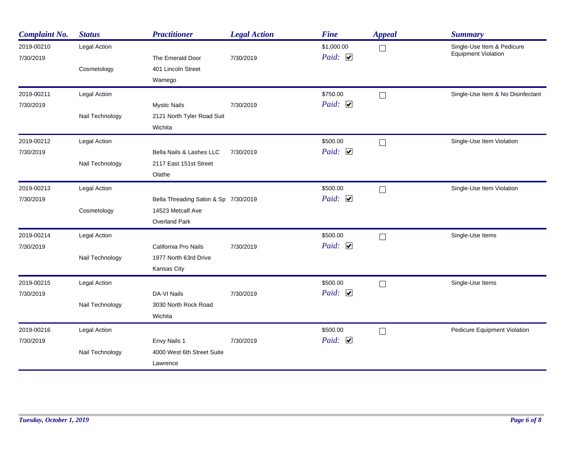| <b>Complaint No.</b>    | <b>Status</b>   | <b>Practitioner</b>                   | <b>Legal Action</b> | <b>Fine</b>                         | <b>Appeal</b> | <b>Summary</b>                                           |
|-------------------------|-----------------|---------------------------------------|---------------------|-------------------------------------|---------------|----------------------------------------------------------|
| 2019-00210<br>7/30/2019 | Legal Action    | The Emerald Door                      | 7/30/2019           | \$1,000.00<br>Paid: $\triangledown$ | $\Box$        | Single-Use Item & Pedicure<br><b>Equipment Violation</b> |
|                         | Cosmetology     | 401 Lincoln Street<br>Wamego          |                     |                                     |               |                                                          |
| 2019-00211              | Legal Action    |                                       |                     | \$750.00                            | $\Box$        | Single-Use Item & No Disinfectant                        |
| 7/30/2019               |                 | <b>Mystic Nails</b>                   | 7/30/2019           | Paid: $\Box$                        |               |                                                          |
|                         | Nail Technology | 2121 North Tyler Road Suit<br>Wichita |                     |                                     |               |                                                          |
| 2019-00212              | Legal Action    |                                       |                     | \$500.00                            | $\Box$        | Single-Use Item Violation                                |
| 7/30/2019               |                 | Bella Nails & Lashes LLC              | 7/30/2019           | Paid: $\Box$                        |               |                                                          |
|                         | Nail Technology | 2117 East 151st Street                |                     |                                     |               |                                                          |
|                         |                 | Olathe                                |                     |                                     |               |                                                          |
| 2019-00213              | Legal Action    |                                       |                     | \$500.00                            | П             | Single-Use Item Violation                                |
| 7/30/2019               |                 | Bella Threading Salon & Sp 7/30/2019  |                     | Paid: $\Box$                        |               |                                                          |
|                         | Cosmetology     | 14523 Metcalf Ave                     |                     |                                     |               |                                                          |
|                         |                 | Overland Park                         |                     |                                     |               |                                                          |
| 2019-00214              | Legal Action    |                                       |                     | \$500.00                            | $\Box$        | Single-Use Items                                         |
| 7/30/2019               |                 | California Pro Nails                  | 7/30/2019           | Paid: $\Box$                        |               |                                                          |
|                         | Nail Technology | 1977 North 63rd Drive                 |                     |                                     |               |                                                          |
|                         |                 | Kansas City                           |                     |                                     |               |                                                          |
| 2019-00215              | Legal Action    |                                       |                     | \$500.00                            | $\Box$        | Single-Use Items                                         |
| 7/30/2019               |                 | DA-VI Nails                           | 7/30/2019           | Paid: $\triangledown$               |               |                                                          |
|                         | Nail Technology | 3030 North Rock Road                  |                     |                                     |               |                                                          |
|                         |                 | Wichita                               |                     |                                     |               |                                                          |
| 2019-00216              | Legal Action    |                                       |                     | \$500.00                            | $\Box$        | Pedicure Equipment Violation                             |
| 7/30/2019               |                 | Envy Nails 1                          | 7/30/2019           | Paid: $\Box$                        |               |                                                          |
|                         | Nail Technology | 4000 West 6th Street Suite            |                     |                                     |               |                                                          |
|                         |                 | Lawrence                              |                     |                                     |               |                                                          |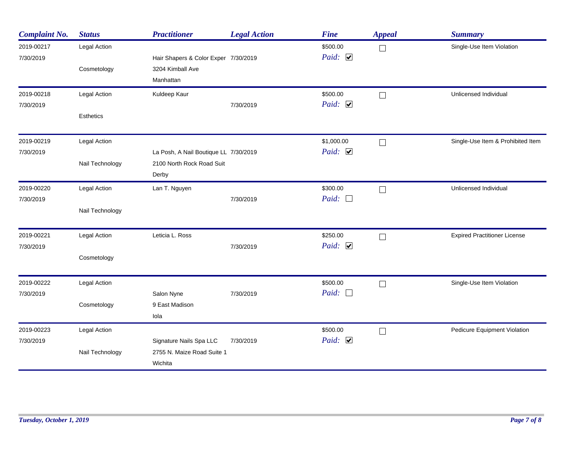| <b>Complaint No.</b>    | <b>Status</b>    | <b>Practitioner</b>                   | <b>Legal Action</b> | <b>Fine</b>                       | <b>Appeal</b> | <b>Summary</b>                      |
|-------------------------|------------------|---------------------------------------|---------------------|-----------------------------------|---------------|-------------------------------------|
| 2019-00217<br>7/30/2019 | Legal Action     | Hair Shapers & Color Exper 7/30/2019  |                     | \$500.00<br>Paid: $\triangledown$ | $\Box$        | Single-Use Item Violation           |
|                         | Cosmetology      | 3204 Kimball Ave                      |                     |                                   |               |                                     |
|                         |                  | Manhattan                             |                     |                                   |               |                                     |
| 2019-00218              | Legal Action     | Kuldeep Kaur                          |                     | \$500.00                          | $\Box$        | Unlicensed Individual               |
| 7/30/2019               |                  |                                       | 7/30/2019           | Paid: $\Box$                      |               |                                     |
|                         | <b>Esthetics</b> |                                       |                     |                                   |               |                                     |
| 2019-00219              | Legal Action     |                                       |                     | \$1,000.00                        | $\Box$        | Single-Use Item & Prohibited Item   |
| 7/30/2019               |                  | La Posh, A Nail Boutique LL 7/30/2019 |                     | Paid: $\Box$                      |               |                                     |
|                         | Nail Technology  | 2100 North Rock Road Suit             |                     |                                   |               |                                     |
|                         |                  | Derby                                 |                     |                                   |               |                                     |
| 2019-00220              | Legal Action     | Lan T. Nguyen                         |                     | \$300.00                          | $\Box$        | Unlicensed Individual               |
| 7/30/2019               |                  |                                       | 7/30/2019           | Paid: $\Box$                      |               |                                     |
|                         | Nail Technology  |                                       |                     |                                   |               |                                     |
| 2019-00221              | Legal Action     | Leticia L. Ross                       |                     | \$250.00                          | $\Box$        | <b>Expired Practitioner License</b> |
| 7/30/2019               |                  |                                       | 7/30/2019           | Paid: $\Box$                      |               |                                     |
|                         | Cosmetology      |                                       |                     |                                   |               |                                     |
| 2019-00222              | Legal Action     |                                       |                     | \$500.00                          | $\Box$        | Single-Use Item Violation           |
| 7/30/2019               |                  | Salon Nyne                            | 7/30/2019           | Paid: $\square$                   |               |                                     |
|                         | Cosmetology      | 9 East Madison                        |                     |                                   |               |                                     |
|                         |                  | lola                                  |                     |                                   |               |                                     |
| 2019-00223              | Legal Action     |                                       |                     | \$500.00                          | $\Box$        | Pedicure Equipment Violation        |
| 7/30/2019               |                  | Signature Nails Spa LLC               | 7/30/2019           | Paid: $\Box$                      |               |                                     |
|                         | Nail Technology  | 2755 N. Maize Road Suite 1<br>Wichita |                     |                                   |               |                                     |
|                         |                  |                                       |                     |                                   |               |                                     |